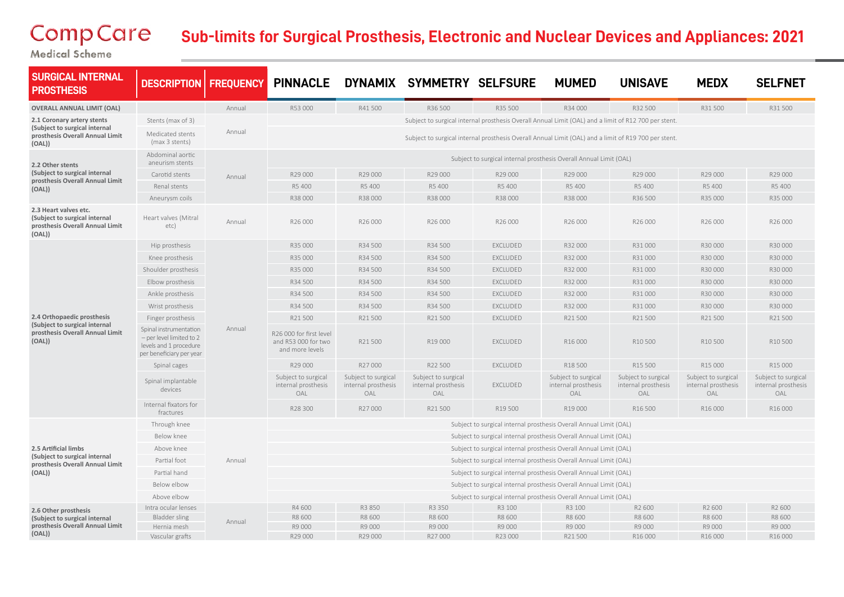## CompCare

## **Sub-limits for Surgical Prosthesis, Electronic and Nuclear Devices and Appliances: 2021**

Medical Scheme

| <b>SURGICAL INTERNAL</b><br><b>PROSTHESIS</b>                                                            | <b>DESCRIPTION</b>                                                                                       | <b>FREQUENCY</b> | <b>PINNACLE</b>                                                                                      |                                                   | DYNAMIX SYMMETRY SELFSURE                         |                                                                                                      | <b>MUMED</b>                                      | <b>UNISAVE</b>                                    | <b>MEDX</b>                                       | <b>SELFNET</b>                                    |  |
|----------------------------------------------------------------------------------------------------------|----------------------------------------------------------------------------------------------------------|------------------|------------------------------------------------------------------------------------------------------|---------------------------------------------------|---------------------------------------------------|------------------------------------------------------------------------------------------------------|---------------------------------------------------|---------------------------------------------------|---------------------------------------------------|---------------------------------------------------|--|
| <b>OVERALL ANNUAL LIMIT (OAL)</b>                                                                        |                                                                                                          | Annual           | R53 000                                                                                              | R41500                                            | R36 500                                           | R35 500                                                                                              | R34 000                                           | R32 500                                           | R31500                                            | R31500                                            |  |
| 2.1 Coronary artery stents<br>(Subject to surgical internal<br>prosthesis Overall Annual Limit<br>(OAL)) | Stents (max of 3)                                                                                        |                  |                                                                                                      |                                                   |                                                   | Subject to surgical internal prosthesis Overall Annual Limit (OAL) and a limit of R12 700 per stent. |                                                   |                                                   |                                                   |                                                   |  |
|                                                                                                          | Medicated stents<br>(max 3 stents)                                                                       | Annual           | Subject to surgical internal prosthesis Overall Annual Limit (OAL) and a limit of R19 700 per stent. |                                                   |                                                   |                                                                                                      |                                                   |                                                   |                                                   |                                                   |  |
| 2.2 Other stents<br>(Subject to surgical internal<br>prosthesis Overall Annual Limit<br>(OAL))           | Abdominal aortic<br>aneurism stents                                                                      | Annual           | Subject to surgical internal prosthesis Overall Annual Limit (OAL)                                   |                                                   |                                                   |                                                                                                      |                                                   |                                                   |                                                   |                                                   |  |
|                                                                                                          | Carotid stents                                                                                           |                  | R29 000                                                                                              | R29 000                                           | R29 000                                           | R29 000                                                                                              | R29 000                                           | R29 000                                           | R29 000                                           | R29 000                                           |  |
|                                                                                                          | Renal stents                                                                                             |                  | R5 400                                                                                               | R5 400                                            | R5 400                                            | R5 400                                                                                               | R5 400                                            | R5 400                                            | R5 400                                            | R5 400                                            |  |
|                                                                                                          | Aneurysm coils                                                                                           |                  | R38 000                                                                                              | R38 000                                           | R38 000                                           | R38 000                                                                                              | R38 000                                           | R36 500                                           | R35 000                                           | R35 000                                           |  |
| 2.3 Heart valves etc.<br>(Subject to surgical internal<br>prosthesis Overall Annual Limit<br>(OAL))      | Heart valves (Mitral<br>etc)                                                                             | Annual           | R26 000                                                                                              | R26 000                                           | R26 000                                           | R26 000                                                                                              | R26 000                                           | R26 000                                           | R26 000                                           | R26 000                                           |  |
| 2.4 Orthopaedic prosthesis<br>(Subject to surgical internal<br>prosthesis Overall Annual Limit<br>(OAL)) | Hip prosthesis                                                                                           | Annual           | R35 000                                                                                              | R34 500                                           | R34 500                                           | EXCLUDED                                                                                             | R32 000                                           | R31000                                            | R30 000                                           | R30 000                                           |  |
|                                                                                                          | Knee prosthesis                                                                                          |                  | R35 000                                                                                              | R34 500                                           | R34 500                                           | EXCLUDED                                                                                             | R32 000                                           | R31000                                            | R30 000                                           | R30000                                            |  |
|                                                                                                          | Shoulder prosthesis                                                                                      |                  | R35 000                                                                                              | R34 500                                           | R34 500                                           | EXCLUDED                                                                                             | R32 000                                           | R31 000                                           | R30 000                                           | R30 000                                           |  |
|                                                                                                          | Elbow prosthesis                                                                                         |                  | R34 500                                                                                              | R34 500                                           | R34 500                                           | EXCLUDED                                                                                             | R32 000                                           | R31000                                            | R30 000                                           | R30 000                                           |  |
|                                                                                                          | Ankle prosthesis                                                                                         |                  | R34 500                                                                                              | R34 500                                           | R34 500                                           | EXCLUDED                                                                                             | R32 000                                           | R31000                                            | R30 000                                           | R30 000                                           |  |
|                                                                                                          | Wrist prosthesis                                                                                         |                  | R34 500                                                                                              | R34 500                                           | R34 500                                           | EXCLUDED                                                                                             | R32 000                                           | R31 000                                           | R30 000                                           | R30 000                                           |  |
|                                                                                                          | Finger prosthesis                                                                                        |                  | R21500                                                                                               | R21500                                            | R21500                                            | EXCLUDED                                                                                             | R21500                                            | R21500                                            | R21 500                                           | R21500                                            |  |
|                                                                                                          | Spinal instrumentation<br>- per level limited to 2<br>levels and 1 procedure<br>per beneficiary per year |                  | R26 000 for first level<br>and R53 000 for two<br>and more levels                                    | R21500                                            | R19 000                                           | EXCLUDED                                                                                             | R16 000                                           | R10 500                                           | R10 500                                           | R10 500                                           |  |
|                                                                                                          | Spinal cages                                                                                             |                  | R29 000                                                                                              | R27000                                            | R22 500                                           | EXCLUDED                                                                                             | R18 500                                           | R15 500                                           | R15 000                                           | R15 000                                           |  |
|                                                                                                          | Spinal implantable<br>devices                                                                            |                  | Subject to surgical<br>internal prosthesis<br>OAL                                                    | Subject to surgical<br>internal prosthesis<br>OAL | Subject to surgical<br>internal prosthesis<br>OAL | EXCLUDED                                                                                             | Subject to surgical<br>internal prosthesis<br>OAL | Subject to surgical<br>internal prosthesis<br>OAL | Subject to surgical<br>internal prosthesis<br>OAL | Subject to surgical<br>internal prosthesis<br>OAL |  |
|                                                                                                          | Internal fixators for<br>fractures                                                                       |                  | R28 300                                                                                              | R27000                                            | R21500                                            | R19 500                                                                                              | R19 000                                           | R16 500                                           | R16 000                                           | R16 000                                           |  |
| 2.5 Artificial limbs<br>(Subject to surgical internal<br>prosthesis Overall Annual Limit<br>(OAL))       | Through knee                                                                                             |                  | Subject to surgical internal prosthesis Overall Annual Limit (OAL)                                   |                                                   |                                                   |                                                                                                      |                                                   |                                                   |                                                   |                                                   |  |
|                                                                                                          | Below knee                                                                                               | Annual           | Subject to surgical internal prosthesis Overall Annual Limit (OAL)                                   |                                                   |                                                   |                                                                                                      |                                                   |                                                   |                                                   |                                                   |  |
|                                                                                                          | Above knee                                                                                               |                  | Subject to surgical internal prosthesis Overall Annual Limit (OAL)                                   |                                                   |                                                   |                                                                                                      |                                                   |                                                   |                                                   |                                                   |  |
|                                                                                                          | Partial foot                                                                                             |                  | Subject to surgical internal prosthesis Overall Annual Limit (OAL)                                   |                                                   |                                                   |                                                                                                      |                                                   |                                                   |                                                   |                                                   |  |
|                                                                                                          | Partial hand                                                                                             |                  | Subject to surgical internal prosthesis Overall Annual Limit (OAL)                                   |                                                   |                                                   |                                                                                                      |                                                   |                                                   |                                                   |                                                   |  |
|                                                                                                          | Below elbow                                                                                              |                  | Subject to surgical internal prosthesis Overall Annual Limit (OAL)                                   |                                                   |                                                   |                                                                                                      |                                                   |                                                   |                                                   |                                                   |  |
|                                                                                                          | Above elbow                                                                                              |                  | Subject to surgical internal prosthesis Overall Annual Limit (OAL)                                   |                                                   |                                                   |                                                                                                      |                                                   |                                                   |                                                   |                                                   |  |
| 2.6 Other prosthesis<br>(Subject to surgical internal<br>prosthesis Overall Annual Limit<br>(OAL))       | Intra ocular lenses                                                                                      | Annual           | R4 600                                                                                               | R3 850                                            | R3 350                                            | R3 100                                                                                               | R3 100                                            | R2 600                                            | R2 600                                            | R2 600                                            |  |
|                                                                                                          | Bladder sling                                                                                            |                  | R8 600                                                                                               | R8 600                                            | R8 600                                            | R8 600                                                                                               | R8 600                                            | R8 600                                            | R8 600                                            | R8 600                                            |  |
|                                                                                                          | Hernia mesh<br>Vascular grafts                                                                           |                  | R9 000<br>R29 000                                                                                    | R9 000<br>R29 000                                 | R9 000<br>R27000                                  | R9 000<br>R23 000                                                                                    | R9 000<br>R21500                                  | R9 000<br>R16 000                                 | R9 000<br>R16 000                                 | R9 000<br>R16 000                                 |  |